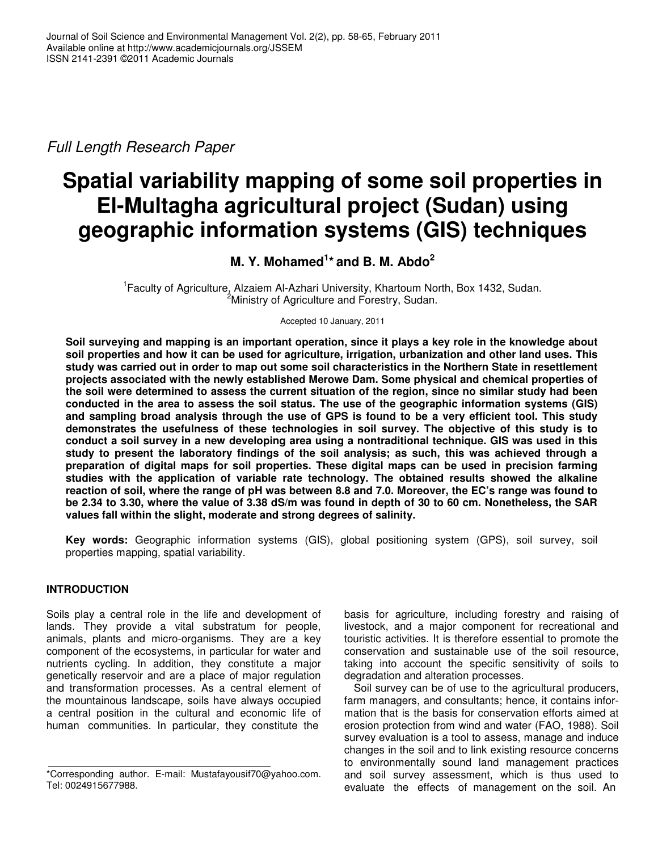*Full Length Research Paper*

# **Spatial variability mapping of some soil properties in El-Multagha agricultural project (Sudan) using geographic information systems (GIS) techniques**

## **M. Y. Mohamed 1 \* and B. M. Abdo 2**

<sup>1</sup> Faculty of Agriculture, Alzaiem Al-Azhari University, Khartoum North, Box 1432, Sudan. <sup>2</sup>Ministry of Agriculture and Forestry, Sudan.

Accepted 10 January, 2011

Soil surveying and mapping is an important operation, since it plays a key role in the knowledge about soil properties and how it can be used for agriculture, irrigation, urbanization and other land uses. This study was carried out in order to map out some soil characteristics in the Northern State in resettlement **projects associated with the newly established Merowe Dam. Some physical and chemical properties of** the soil were determined to assess the current situation of the region, since no similar study had been **conducted in the area to assess the soil status. The use of the geographic information systems (GIS)** and sampling broad analysis through the use of GPS is found to be a very efficient tool. This study **demonstrates the usefulness of these technologies in soil survey. The objective of this study is to** conduct a soil survey in a new developing area using a nontraditional technique. GIS was used in this **study to present the laboratory findings of the soil analysis; as such, this was achieved through a preparation of digital maps for soil properties. These digital maps can be used in precision farming studies with the application of variable rate technology. The obtained results showed the alkaline** reaction of soil, where the range of pH was between 8.8 and 7.0. Moreover, the EC's range was found to be 2.34 to 3.30, where the value of 3.38 dS/m was found in depth of 30 to 60 cm. Nonetheless, the SAR **values fall within the slight, moderate and strong degrees of salinity.**

**Key words:** Geographic information systems (GIS), global positioning system (GPS), soil survey, soil properties mapping, spatial variability*.*

### **INTRODUCTION**

Soils play a central role in the life and development of lands. They provide a vital substratum for people, animals, plants and micro-organisms. They are a key component of the ecosystems, in particular for water and nutrients cycling. In addition, they constitute a major genetically reservoir and are a place of major regulation and transformation processes. As a central element of the mountainous landscape, soils have always occupied a central position in the cultural and economic life of human communities. In particular, they constitute the

basis for agriculture, including forestry and raising of livestock, and a major component for recreational and touristic activities. It is therefore essential to promote the conservation and sustainable use of the soil resource, taking into account the specific sensitivity of soils to degradation and alteration processes.

Soil survey can be of use to the agricultural producers, farm managers, and consultants; hence, it contains information that is the basis for conservation efforts aimed at erosion protection from wind and water (FAO, 1988). Soil survey evaluation is a tool to assess, manage and induce changes in the soil and to link existing resource concerns to environmentally sound land management practices and soil survey assessment, which is thus used to evaluate the effects of management on the soil. An

<sup>\*</sup>Corresponding author. E-mail: Mustafayousif70@yahoo.com. Tel: 0024915677988.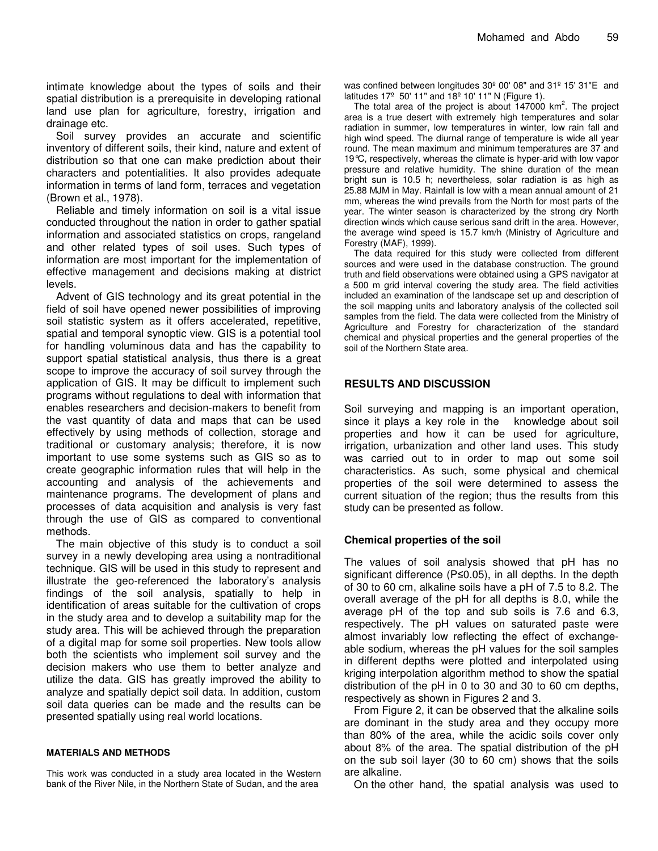intimate knowledge about the types of soils and their spatial distribution is a prerequisite in developing rational land use plan for agriculture, forestry, irrigation and drainage etc.

Soil survey provides an accurate and scientific inventory of different soils, their kind, nature and extent of distribution so that one can make prediction about their characters and potentialities. It also provides adequate information in terms of land form, terraces and vegetation (Brown et al., 1978).

Reliable and timely information on soil is a vital issue conducted throughout the nation in order to gather spatial information and associated statistics on crops, rangeland and other related types of soil uses. Such types of information are most important for the implementation of effective management and decisions making at district levels.

Advent of GIS technology and its great potential in the field of soil have opened newer possibilities of improving soil statistic system as it offers accelerated, repetitive, spatial and temporal synoptic view. GIS is a potential tool for handling voluminous data and has the capability to support spatial statistical analysis, thus there is a great scope to improve the accuracy of soil survey through the application of GIS. It may be difficult to implement such programs without regulations to deal with information that enables researchers and decision-makers to benefit from the vast quantity of data and maps that can be used effectively by using methods of collection, storage and traditional or customary analysis; therefore, it is now important to use some systems such as GIS so as to create geographic information rules that will help in the accounting and analysis of the achievements and maintenance programs. The development of plans and processes of data acquisition and analysis is very fast through the use of GIS as compared to conventional methods.

The main objective of this study is to conduct a soil survey in a newly developing area using a nontraditional technique. GIS will be used in this study to represent and illustrate the geo-referenced the laboratory's analysis findings of the soil analysis, spatially to help in identification of areas suitable for the cultivation of crops in the study area and to develop a suitability map for the study area. This will be achieved through the preparation of a digital map for some soil properties. New tools allow both the scientists who implement soil survey and the decision makers who use them to better analyze and utilize the data. GIS has greatly improved the ability to analyze and spatially depict soil data. In addition, custom soil data queries can be made and the results can be presented spatially using real world locations.

#### **MATERIALS AND METHODS**

This work was conducted in a study area located in the Western bank of the River Nile, in the Northern State of Sudan, and the area

was confined between longitudes 30º 00' 08" and 31º 15' 31"E and latitudes 17º 50' 11" and 18º 10' 11" N (Figure 1).

The total area of the project is about 147000 km<sup>2</sup>. The project area is a true desert with extremely high temperatures and solar radiation in summer, low temperatures in winter, low rain fall and high wind speed. The diurnal range of temperature is wide all year round. The mean maximum and minimum temperatures are 37 and 19°C, respectively, whereas the climate is hyper-arid with low vapor pressure and relative humidity. The shine duration of the mean bright sun is 10.5 h; nevertheless, solar radiation is as high as 25.88 MJM in May. Rainfall is low with a mean annual amount of 21 mm, whereas the wind prevails from the North for most parts of the year. The winter season is characterized by the strong dry North direction winds which cause serious sand drift in the area. However, the average wind speed is 15.7 km/h (Ministry of Agriculture and Forestry (MAF), 1999).

The data required for this study were collected from different sources and were used in the database construction. The ground truth and field observations were obtained using a GPS navigator at a 500 m grid interval covering the study area. The field activities included an examination of the landscape set up and description of the soil mapping units and laboratory analysis of the collected soil samples from the field. The data were collected from the Ministry of Agriculture and Forestry for characterization of the standard chemical and physical properties and the general properties of the soil of the Northern State area.

#### **RESULTS AND DISCUSSION**

Soil surveying and mapping is an important operation, since it plays a key role in the knowledge about soil properties and how it can be used for agriculture, irrigation, urbanization and other land uses. This study was carried out to in order to map out some soil characteristics. As such, some physical and chemical properties of the soil were determined to assess the current situation of the region; thus the results from this study can be presented as follow.

#### **Chemical properties of the soil**

The values of soil analysis showed that pH has no significant difference (P $\leq$ 0.05), in all depths. In the depth of 30 to 60 cm, alkaline soils have a pH of 7.5 to 8.2. The overall average of the pH for all depths is 8.0, while the average pH of the top and sub soils is 7.6 and 6.3, respectively. The pH values on saturated paste were almost invariably low reflecting the effect of exchangeable sodium, whereas the pH values for the soil samples in different depths were plotted and interpolated using kriging interpolation algorithm method to show the spatial distribution of the pH in 0 to 30 and 30 to 60 cm depths, respectively as shown in Figures 2 and 3.

From Figure 2, it can be observed that the alkaline soils are dominant in the study area and they occupy more than 80% of the area, while the acidic soils cover only about 8% of the area. The spatial distribution of the pH on the sub soil layer (30 to 60 cm) shows that the soils are alkaline.

On the other hand, the spatial analysis was used to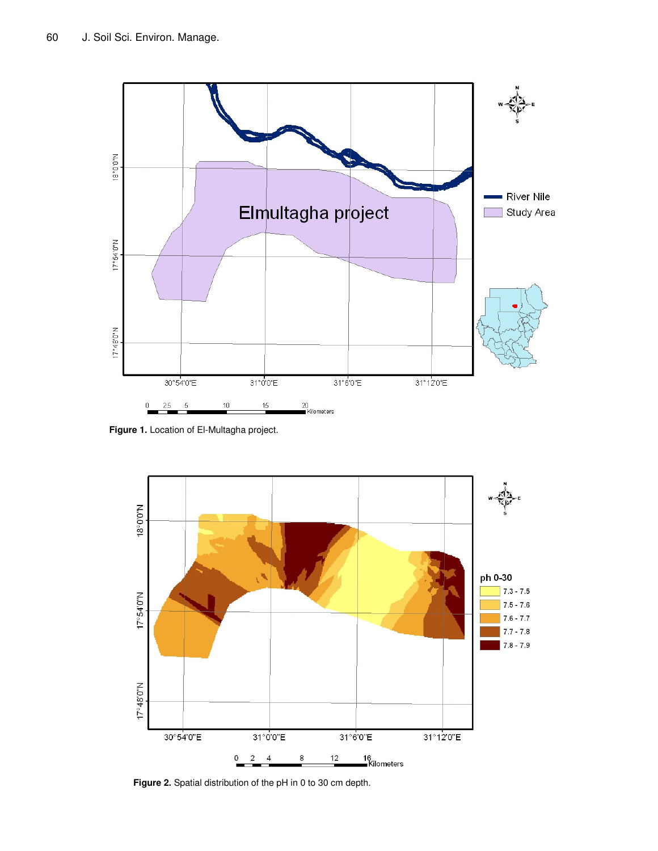

**Figure 1.** Location of El-Multagha project.



**Figure 2.** Spatial distribution of the pH in 0 to 30 cm depth.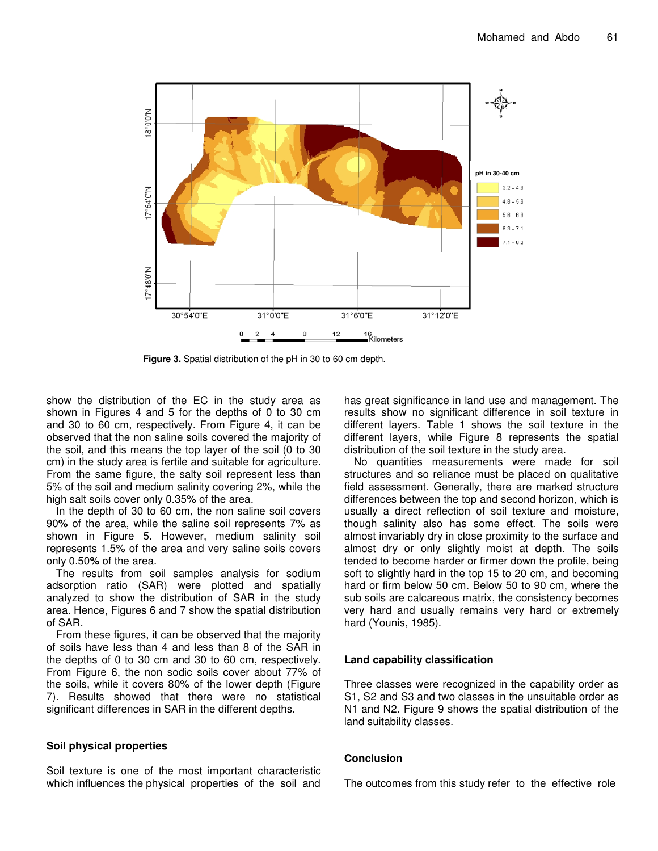

**Figure 3.** Spatial distribution of the pH in 30 to 60 cm depth.

show the distribution of the EC in the study area as shown in Figures 4 and 5 for the depths of 0 to 30 cm and 30 to 60 cm, respectively. From Figure 4, it can be observed that the non saline soils covered the majority of the soil, and this means the top layer of the soil (0 to 30 cm) in the study area is fertile and suitable for agriculture. From the same figure, the salty soil represent less than 5% of the soil and medium salinity covering 2%, while the high salt soils cover only 0.35% of the area.

In the depth of 30 to 60 cm, the non saline soil covers 90**%** of the area, while the saline soil represents 7% as shown in Figure 5. However, medium salinity soil represents 1.5% of the area and very saline soils covers only 0.50**%** of the area.

The results from soil samples analysis for sodium adsorption ratio (SAR) were plotted and spatially analyzed to show the distribution of SAR in the study area. Hence, Figures 6 and 7 show the spatial distribution of SAR.

From these figures, it can be observed that the majority of soils have less than 4 and less than 8 of the SAR in the depths of 0 to 30 cm and 30 to 60 cm, respectively. From Figure 6, the non sodic soils cover about 77% of the soils, while it covers 80% of the lower depth (Figure 7). Results showed that there were no statistical significant differences in SAR in the different depths.

#### **Soil physical properties**

Soil texture is one of the most important characteristic which influences the physical properties of the soil and

has great significance in land use and management. The results show no significant difference in soil texture in different layers. Table 1 shows the soil texture in the different layers, while Figure 8 represents the spatial distribution of the soil texture in the study area.

No quantities measurements were made for soil structures and so reliance must be placed on qualitative field assessment. Generally, there are marked structure differences between the top and second horizon, which is usually a direct reflection of soil texture and moisture, though salinity also has some effect. The soils were almost invariably dry in close proximity to the surface and almost dry or only slightly moist at depth. The soils tended to become harder or firmer down the profile, being soft to slightly hard in the top 15 to 20 cm, and becoming hard or firm below 50 cm. Below 50 to 90 cm, where the sub soils are calcareous matrix, the consistency becomes very hard and usually remains very hard or extremely hard (Younis, 1985).

#### **Land capability classification**

Three classes were recognized in the capability order as S1, S2 and S3 and two classes in the unsuitable order as N1 and N2. Figure 9 shows the spatial distribution of the land suitability classes.

#### **Conclusion**

The outcomes from this study refer to the effective role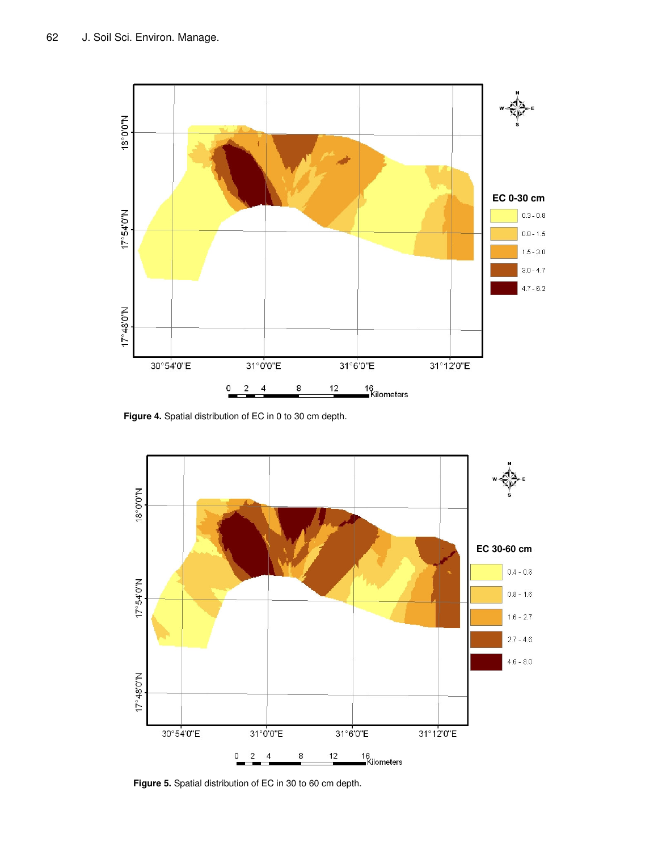

**Figure 4.** Spatial distribution of EC in 0 to 30 cm depth.



**Figure 5.** Spatial distribution of EC in 30 to 60 cm depth.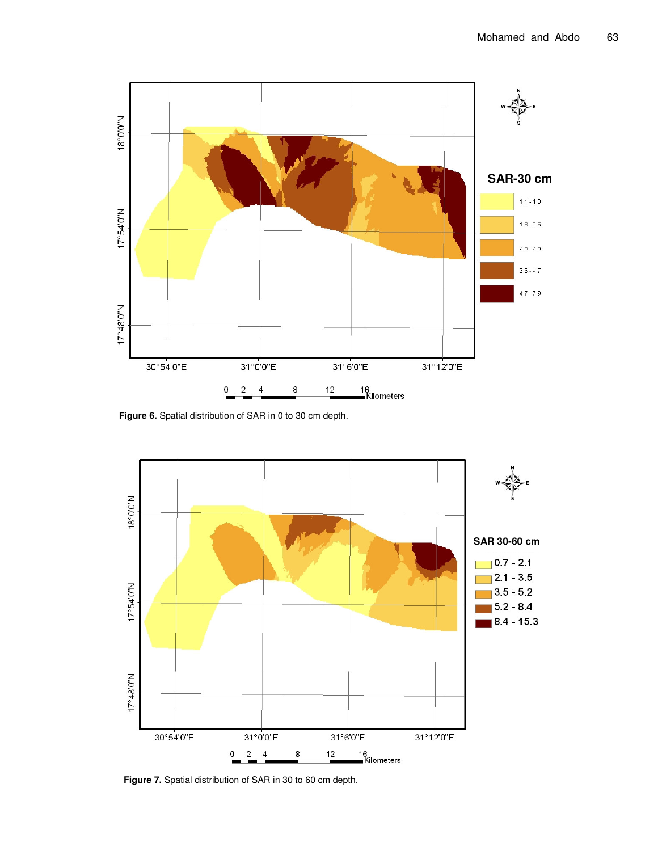

**Figure 6.** Spatial distribution of SAR in 0 to 30 cm depth.



**Figure 7.** Spatial distribution of SAR in 30 to 60 cm depth.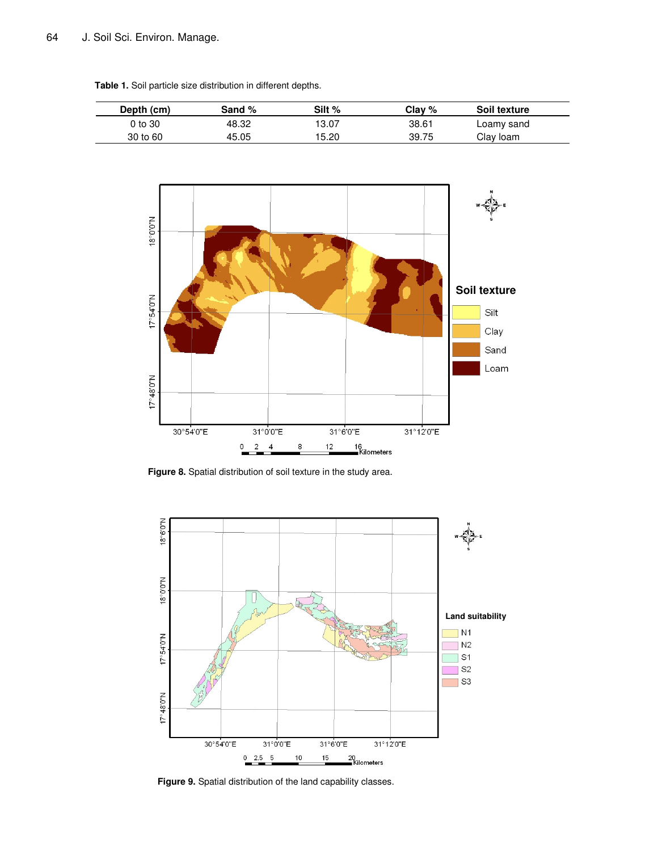**Table 1.** Soil particle size distribution in different depths.





**Figure 8.** Spatial distribution of soil texture in the study area.

![](_page_6_Figure_5.jpeg)

**Figure 9.** Spatial distribution of the land capability classes.